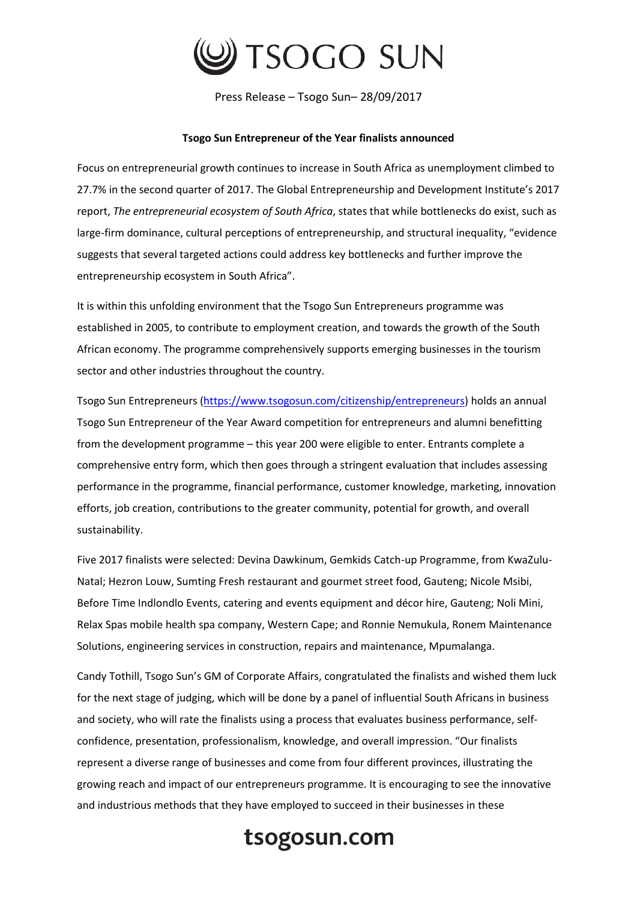

Press Release – Tsogo Sun– 28/09/2017

## **Tsogo Sun Entrepreneur of the Year finalists announced**

Focus on entrepreneurial growth continues to increase in South Africa as unemployment climbed to 27.7% in the second quarter of 2017. The Global Entrepreneurship and Development Institute's 2017 report, *The entrepreneurial ecosystem of South Africa*, states that while bottlenecks do exist, such as large-firm dominance, cultural perceptions of entrepreneurship, and structural inequality, "evidence suggests that several targeted actions could address key bottlenecks and further improve the entrepreneurship ecosystem in South Africa".

It is within this unfolding environment that the Tsogo Sun Entrepreneurs programme was established in 2005, to contribute to employment creation, and towards the growth of the South African economy. The programme comprehensively supports emerging businesses in the tourism sector and other industries throughout the country.

Tsogo Sun Entrepreneurs [\(https://www.tsogosun.com/citizenship/entrepreneurs\)](https://www.tsogosun.com/citizenship/entrepreneurs) holds an annual Tsogo Sun Entrepreneur of the Year Award competition for entrepreneurs and alumni benefitting from the development programme – this year 200 were eligible to enter. Entrants complete a comprehensive entry form, which then goes through a stringent evaluation that includes assessing performance in the programme, financial performance, customer knowledge, marketing, innovation efforts, job creation, contributions to the greater community, potential for growth, and overall sustainability.

Five 2017 finalists were selected: Devina Dawkinum, Gemkids Catch-up Programme, from KwaZulu-Natal; Hezron Louw, Sumting Fresh restaurant and gourmet street food, Gauteng; Nicole Msibi, Before Time Indlondlo Events, catering and events equipment and décor hire, Gauteng; Noli Mini, Relax Spas mobile health spa company, Western Cape; and Ronnie Nemukula, Ronem Maintenance Solutions, engineering services in construction, repairs and maintenance, Mpumalanga.

Candy Tothill, Tsogo Sun's GM of Corporate Affairs, congratulated the finalists and wished them luck for the next stage of judging, which will be done by a panel of influential South Africans in business and society, who will rate the finalists using a process that evaluates business performance, selfconfidence, presentation, professionalism, knowledge, and overall impression. "Our finalists represent a diverse range of businesses and come from four different provinces, illustrating the growing reach and impact of our entrepreneurs programme. It is encouraging to see the innovative and industrious methods that they have employed to succeed in their businesses in these

## tsogosun.com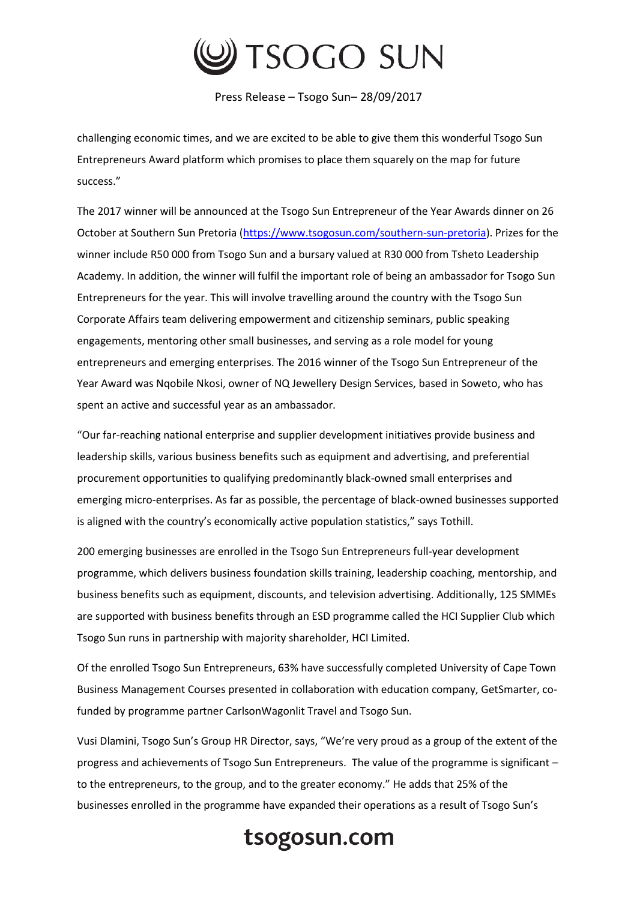

Press Release – Tsogo Sun– 28/09/2017

challenging economic times, and we are excited to be able to give them this wonderful Tsogo Sun Entrepreneurs Award platform which promises to place them squarely on the map for future success."

The 2017 winner will be announced at the Tsogo Sun Entrepreneur of the Year Awards dinner on 26 October at Southern Sun Pretoria [\(https://www.tsogosun.com/southern-sun-pretoria\)](https://www.tsogosun.com/southern-sun-pretoria). Prizes for the winner include R50 000 from Tsogo Sun and a bursary valued at R30 000 from Tsheto Leadership Academy. In addition, the winner will fulfil the important role of being an ambassador for Tsogo Sun Entrepreneurs for the year. This will involve travelling around the country with the Tsogo Sun Corporate Affairs team delivering empowerment and citizenship seminars, public speaking engagements, mentoring other small businesses, and serving as a role model for young entrepreneurs and emerging enterprises. The 2016 winner of the Tsogo Sun Entrepreneur of the Year Award was Nqobile Nkosi, owner of NQ Jewellery Design Services, based in Soweto, who has spent an active and successful year as an ambassador.

"Our far-reaching national enterprise and supplier development initiatives provide business and leadership skills, various business benefits such as equipment and advertising, and preferential procurement opportunities to qualifying predominantly black-owned small enterprises and emerging micro-enterprises. As far as possible, the percentage of black-owned businesses supported is aligned with the country's economically active population statistics," says Tothill.

200 emerging businesses are enrolled in the Tsogo Sun Entrepreneurs full-year development programme, which delivers business foundation skills training, leadership coaching, mentorship, and business benefits such as equipment, discounts, and television advertising. Additionally, 125 SMMEs are supported with business benefits through an ESD programme called the HCI Supplier Club which Tsogo Sun runs in partnership with majority shareholder, HCI Limited.

Of the enrolled Tsogo Sun Entrepreneurs, 63% have successfully completed University of Cape Town Business Management Courses presented in collaboration with education company, GetSmarter, cofunded by programme partner CarlsonWagonlit Travel and Tsogo Sun.

Vusi Dlamini, Tsogo Sun's Group HR Director, says, "We're very proud as a group of the extent of the progress and achievements of Tsogo Sun Entrepreneurs. The value of the programme is significant – to the entrepreneurs, to the group, and to the greater economy." He adds that 25% of the businesses enrolled in the programme have expanded their operations as a result of Tsogo Sun's

## tsogosun.com